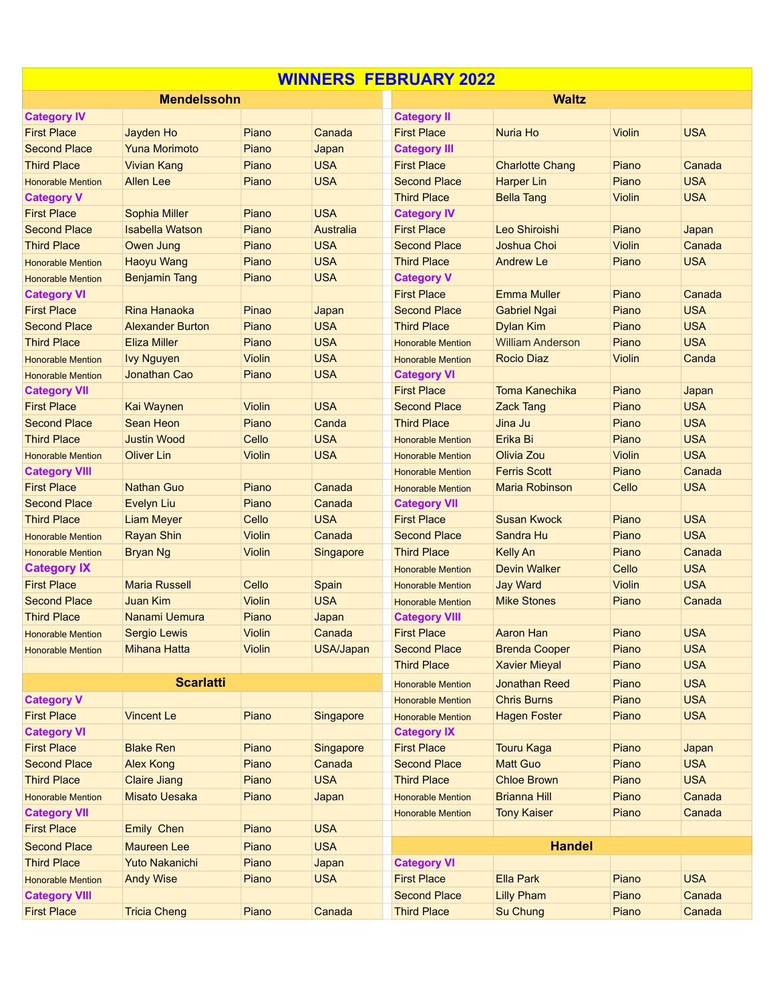| <b>WINNERS FEBRUARY 2022</b> |                         |               |            |                          |                         |               |            |  |  |  |  |
|------------------------------|-------------------------|---------------|------------|--------------------------|-------------------------|---------------|------------|--|--|--|--|
|                              | <b>Mendelssohn</b>      |               |            |                          | <b>Waltz</b>            |               |            |  |  |  |  |
| <b>Category IV</b>           |                         |               |            | <b>Category II</b>       |                         |               |            |  |  |  |  |
| <b>First Place</b>           | Jayden Ho               | Piano         | Canada     | <b>First Place</b>       | Nuria Ho                | <b>Violin</b> | <b>USA</b> |  |  |  |  |
| <b>Second Place</b>          | <b>Yuna Morimoto</b>    | Piano         | Japan      | <b>Category III</b>      |                         |               |            |  |  |  |  |
| <b>Third Place</b>           | <b>Vivian Kang</b>      | Piano         | <b>USA</b> | <b>First Place</b>       | <b>Charlotte Chang</b>  | Piano         | Canada     |  |  |  |  |
| <b>Honorable Mention</b>     | <b>Allen Lee</b>        | Piano         | <b>USA</b> | <b>Second Place</b>      | <b>Harper Lin</b>       | Piano         | <b>USA</b> |  |  |  |  |
| <b>Category V</b>            |                         |               |            | <b>Third Place</b>       | <b>Bella Tang</b>       | <b>Violin</b> | <b>USA</b> |  |  |  |  |
| <b>First Place</b>           | Sophia Miller           | Piano         | <b>USA</b> | <b>Category IV</b>       |                         |               |            |  |  |  |  |
| <b>Second Place</b>          | <b>Isabella Watson</b>  | Piano         | Australia  | <b>First Place</b>       | Leo Shiroishi           | Piano         | Japan      |  |  |  |  |
| <b>Third Place</b>           | Owen Jung               | Piano         | <b>USA</b> | <b>Second Place</b>      | Joshua Choi             | <b>Violin</b> | Canada     |  |  |  |  |
| <b>Honorable Mention</b>     | <b>Haoyu Wang</b>       | Piano         | <b>USA</b> | <b>Third Place</b>       | <b>Andrew Le</b>        | Piano         | <b>USA</b> |  |  |  |  |
| <b>Honorable Mention</b>     | <b>Benjamin Tang</b>    | Piano         | <b>USA</b> | <b>Category V</b>        |                         |               |            |  |  |  |  |
| <b>Category VI</b>           |                         |               |            | <b>First Place</b>       | <b>Emma Muller</b>      | Piano         | Canada     |  |  |  |  |
| <b>First Place</b>           | <b>Rina Hanaoka</b>     | Pinao         | Japan      | <b>Second Place</b>      | <b>Gabriel Ngai</b>     | Piano         | <b>USA</b> |  |  |  |  |
| <b>Second Place</b>          | <b>Alexander Burton</b> | Piano         | <b>USA</b> | <b>Third Place</b>       | <b>Dylan Kim</b>        | Piano         | <b>USA</b> |  |  |  |  |
| <b>Third Place</b>           | <b>Eliza Miller</b>     | Piano         | <b>USA</b> | <b>Honorable Mention</b> | <b>William Anderson</b> | Piano         | <b>USA</b> |  |  |  |  |
| <b>Honorable Mention</b>     | <b>Ivy Nguyen</b>       | <b>Violin</b> | <b>USA</b> | <b>Honorable Mention</b> | <b>Rocio Diaz</b>       | <b>Violin</b> | Canda      |  |  |  |  |
| <b>Honorable Mention</b>     | Jonathan Cao            | Piano         | <b>USA</b> | <b>Category VI</b>       |                         |               |            |  |  |  |  |
| <b>Category VII</b>          |                         |               |            | <b>First Place</b>       | <b>Toma Kanechika</b>   | Piano         | Japan      |  |  |  |  |
| <b>First Place</b>           | Kai Waynen              | <b>Violin</b> | <b>USA</b> | <b>Second Place</b>      | <b>Zack Tang</b>        | Piano         | <b>USA</b> |  |  |  |  |
| <b>Second Place</b>          | Sean Heon               | Piano         | Canda      | <b>Third Place</b>       | Jina Ju                 | Piano         | <b>USA</b> |  |  |  |  |
| <b>Third Place</b>           | <b>Justin Wood</b>      | Cello         | <b>USA</b> | <b>Honorable Mention</b> | Erika Bi                | Piano         | <b>USA</b> |  |  |  |  |
| <b>Honorable Mention</b>     | <b>Oliver Lin</b>       | Violin        | <b>USA</b> | <b>Honorable Mention</b> | Olivia Zou              | <b>Violin</b> | <b>USA</b> |  |  |  |  |
| <b>Category VIII</b>         |                         |               |            | <b>Honorable Mention</b> | <b>Ferris Scott</b>     | Piano         | Canada     |  |  |  |  |
| <b>First Place</b>           | <b>Nathan Guo</b>       | Piano         | Canada     | <b>Honorable Mention</b> | <b>Maria Robinson</b>   | Cello         | <b>USA</b> |  |  |  |  |
| <b>Second Place</b>          | Evelyn Liu              | Piano         | Canada     | <b>Category VII</b>      |                         |               |            |  |  |  |  |
| <b>Third Place</b>           | <b>Liam Meyer</b>       | Cello         | <b>USA</b> | <b>First Place</b>       | <b>Susan Kwock</b>      | Piano         | <b>USA</b> |  |  |  |  |
| <b>Honorable Mention</b>     | <b>Rayan Shin</b>       | <b>Violin</b> | Canada     | <b>Second Place</b>      | Sandra Hu               | Piano         | <b>USA</b> |  |  |  |  |
| <b>Honorable Mention</b>     | <b>Bryan Ng</b>         | Violin        | Singapore  | <b>Third Place</b>       | <b>Kelly An</b>         | Piano         | Canada     |  |  |  |  |
| <b>Category IX</b>           |                         |               |            | <b>Honorable Mention</b> | <b>Devin Walker</b>     | Cello         | <b>USA</b> |  |  |  |  |
| <b>First Place</b>           | <b>Maria Russell</b>    | Cello         | Spain      | <b>Honorable Mention</b> | <b>Jay Ward</b>         | <b>Violin</b> | <b>USA</b> |  |  |  |  |
| <b>Second Place</b>          | <b>Juan Kim</b>         | <b>Violin</b> | <b>USA</b> | <b>Honorable Mention</b> | <b>Mike Stones</b>      | Piano         | Canada     |  |  |  |  |
| <b>Third Place</b>           | Nanami Uemura           | Piano         | Japan      | <b>Category VIII</b>     |                         |               |            |  |  |  |  |
| <b>Honorable Mention</b>     | Sergio Lewis            | Violin        | Canada     | <b>First Place</b>       | <b>Aaron Han</b>        | Piano         | <b>USA</b> |  |  |  |  |
| <b>Honorable Mention</b>     | <b>Mihana Hatta</b>     | Violin        | USA/Japan  | <b>Second Place</b>      | <b>Brenda Cooper</b>    | Piano         | <b>USA</b> |  |  |  |  |
|                              |                         |               |            | <b>Third Place</b>       | <b>Xavier Mieyal</b>    | Piano         | <b>USA</b> |  |  |  |  |
|                              | <b>Scarlatti</b>        |               |            | <b>Honorable Mention</b> | <b>Jonathan Reed</b>    | Piano         | <b>USA</b> |  |  |  |  |
| <b>Category V</b>            |                         |               |            | <b>Honorable Mention</b> | <b>Chris Burns</b>      | Piano         | <b>USA</b> |  |  |  |  |
| <b>First Place</b>           | <b>Vincent Le</b>       | Piano         | Singapore  | <b>Honorable Mention</b> | <b>Hagen Foster</b>     | Piano         | <b>USA</b> |  |  |  |  |
| <b>Category VI</b>           |                         |               |            | <b>Category IX</b>       |                         |               |            |  |  |  |  |
| <b>First Place</b>           | <b>Blake Ren</b>        | Piano         | Singapore  | <b>First Place</b>       | <b>Touru Kaga</b>       | Piano         | Japan      |  |  |  |  |
| <b>Second Place</b>          | <b>Alex Kong</b>        | Piano         | Canada     | <b>Second Place</b>      | <b>Matt Guo</b>         | Piano         | <b>USA</b> |  |  |  |  |
| <b>Third Place</b>           | <b>Claire Jiang</b>     | Piano         | <b>USA</b> | <b>Third Place</b>       | <b>Chloe Brown</b>      | Piano         | <b>USA</b> |  |  |  |  |
| <b>Honorable Mention</b>     | <b>Misato Uesaka</b>    | Piano         | Japan      | <b>Honorable Mention</b> | <b>Brianna Hill</b>     | Piano         | Canada     |  |  |  |  |
| <b>Category VII</b>          |                         |               |            | <b>Honorable Mention</b> | <b>Tony Kaiser</b>      | Piano         | Canada     |  |  |  |  |
| <b>First Place</b>           | Emily Chen              | Piano         | <b>USA</b> |                          |                         |               |            |  |  |  |  |
| <b>Second Place</b>          | <b>Maureen Lee</b>      | Piano         | <b>USA</b> |                          | <b>Handel</b>           |               |            |  |  |  |  |
| <b>Third Place</b>           | <b>Yuto Nakanichi</b>   | Piano         | Japan      | <b>Category VI</b>       |                         |               |            |  |  |  |  |
| <b>Honorable Mention</b>     | <b>Andy Wise</b>        | Piano         | <b>USA</b> | <b>First Place</b>       | <b>Ella Park</b>        | Piano         | <b>USA</b> |  |  |  |  |
| <b>Category VIII</b>         |                         |               |            | <b>Second Place</b>      | <b>Lilly Pham</b>       | Piano         | Canada     |  |  |  |  |
| <b>First Place</b>           | <b>Tricia Cheng</b>     | Piano         | Canada     | <b>Third Place</b>       | <b>Su Chung</b>         | Piano         | Canada     |  |  |  |  |